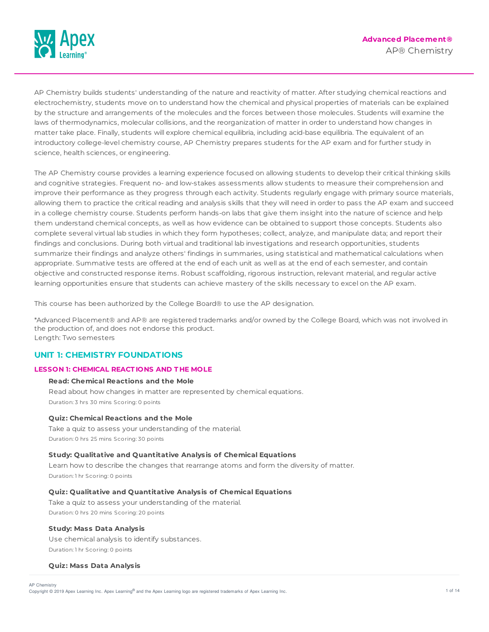

AP Chemistry builds students' understanding of the nature and reactivity of matter. After studying chemical reactions and electrochemistry, students move on to understand how the chemical and physical properties of materials can be explained by the structure and arrangements of the molecules and the forces between those molecules. Students will examine the laws of thermodynamics, molecular collisions, and the reorganization of matter in order to understand how changes in matter take place. Finally, students will explore chemical equilibria, including acid-base equilibria. The equivalent of an introductory college-level chemistry course, AP Chemistry prepares students for the AP exam and for further study in science, health sciences, or engineering.

The AP Chemistry course provides a learning experience focused on allowing students to develop their critical thinking skills and cognitive strategies. Frequent no- and low-stakes assessments allow students to measure their comprehension and improve their performance as they progress through each activity. Students regularly engage with primary source materials, allowing them to practice the critical reading and analysis skills that they will need in order to pass the AP exam and succeed in a college chemistry course. Students perform hands-on labs that give them insight into the nature of science and help them understand chemical concepts, as well as how evidence can be obtained to support those concepts. Students also complete several virtual lab studies in which they form hypotheses; collect, analyze, and manipulate data; and report their findings and conclusions. During both virtual and traditional lab investigations and research opportunities, students summarize their findings and analyze others' findings in summaries, using statistical and mathematical calculations when appropriate. Summative tests are offered at the end of each unit as well as at the end of each semester, and contain objective and constructed response items. Robust scaffolding, rigorous instruction, relevant material, and regular active learning opportunities ensure that students can achieve mastery of the skills necessary to excel on the AP exam.

This course has been authorized by the College Board® to use the AP designation.

\*Advanced Placement® and AP® are registered trademarks and/or owned by the College Board, which was not involved in the production of, and does not endorse this product. Length: Two semesters

# **UNIT 1: CHEMISTRY FOUNDATIONS**

# **LESSON 1: CHEMICAL REACT IONS AND T HE MOLE**

### **Read: Chemical Reactions and the Mole**

Read about how changes in matter are represented by chemical equations. Duration: 3 hrs 30 mins Scoring: 0 points

### **Quiz: Chemical Reactions and the Mole**

Take a quiz to assess your understanding of the material. Duration: 0 hrs 25 mins Scoring: 30 points

### **Study: Qualitative and Quantitative Analysis of Chemical Equations**

Learn how to describe the changes that rearrange atoms and form the diversity of matter. Duration: 1 hr Scoring: 0 points

## **Quiz: Qualitative and Quantitative Analysis of Chemical Equations**

Take a quiz to assess your understanding of the material. Duration: 0 hrs 20 mins Scoring: 20 points

### **Study: Mass Data Analysis**

Use chemical analysis to identify substances. Duration: 1 hr Scoring: 0 points

### **Quiz: Mass Data Analysis**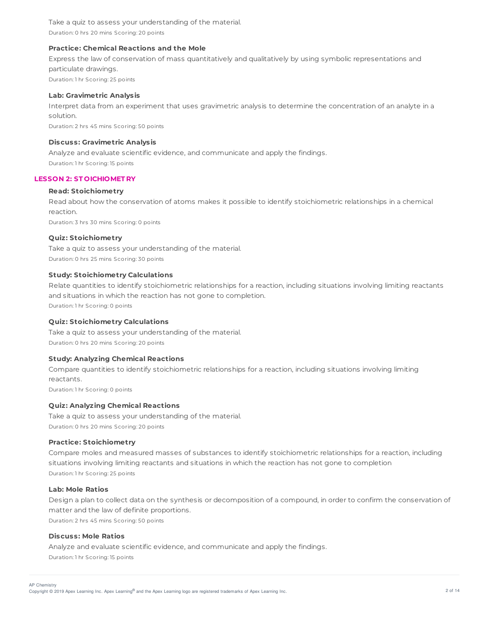Take a quiz to assess your understanding of the material. Duration: 0 hrs 20 mins Scoring: 20 points

### **Practice: Chemical Reactions and the Mole**

Express the law of conservation of mass quantitatively and qualitatively by using symbolic representations and particulate drawings. Duration: 1 hr Scoring: 25 points

### **Lab: Gravimetric Analysis**

Interpret data from an experiment that uses gravimetric analysis to determine the concentration of an analyte in a solution.

Duration: 2 hrs 45 mins Scoring: 50 points

#### **Discuss: Gravimetric Analysis**

Analyze and evaluate scientific evidence, and communicate and apply the findings. Duration: 1 hr Scoring: 15 points

### **LESSON 2: ST OICHIOMET RY**

#### **Read: Stoichiometry**

Read about how the conservation of atoms makes it possible to identify stoichiometric relationships in a chemical reaction.

Duration: 3 hrs 30 mins Scoring: 0 points

## **Quiz: Stoichiometry**

Take a quiz to assess your understanding of the material. Duration: 0 hrs 25 mins Scoring: 30 points

#### **Study: Stoichiometry Calculations**

Relate quantities to identify stoichiometric relationships for a reaction, including situations involving limiting reactants and situations in which the reaction has not gone to completion. Duration: 1 hr Scoring: 0 points

### **Quiz: Stoichiometry Calculations**

Take a quiz to assess your understanding of the material. Duration: 0 hrs 20 mins Scoring: 20 points

### **Study: Analyzing Chemical Reactions**

Compare quantities to identify stoichiometric relationships for a reaction, including situations involving limiting reactants.

Duration: 1 hr Scoring: 0 points

### **Quiz: Analyzing Chemical Reactions**

Take a quiz to assess your understanding of the material. Duration: 0 hrs 20 mins Scoring: 20 points

### **Practice: Stoichiometry**

Compare moles and measured masses of substances to identify stoichiometric relationships for a reaction, including situations involving limiting reactants and situations in which the reaction has not gone to completion Duration: 1 hr Scoring: 25 points

### **Lab: Mole Ratios**

Design a plan to collect data on the synthesis or decomposition of a compound, in order to confirm the conservation of matter and the law of definite proportions. Duration: 2 hrs 45 mins Scoring: 50 points

### **Discuss: Mole Ratios**

Analyze and evaluate scientific evidence, and communicate and apply the findings. Duration: 1 hr Scoring: 15 points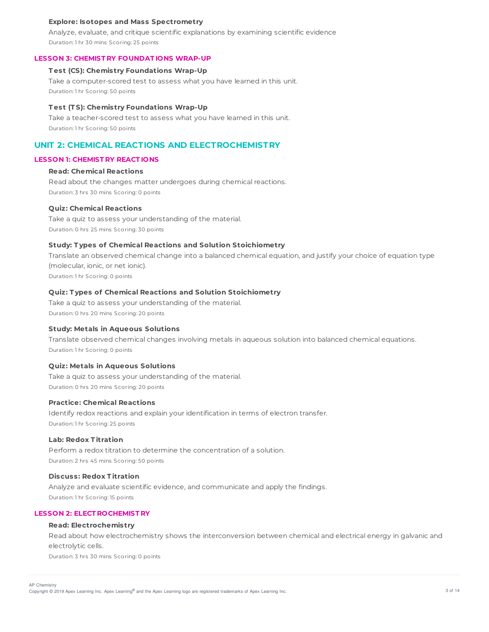### **Explore: Isotopes and Mass Spectrometry**

Analyze, evaluate, and critique scientific explanations by examining scientific evidence Duration: 1 hr 30 mins Scoring: 25 points

#### **LESSON 3: CHEMIST RY FOUNDAT IONS WRAP-UP**

### **T est (CS): Chemistry Foundations Wrap-Up**

Take a computer-scored test to assess what you have learned in this unit. Duration: 1 hr Scoring: 50 points

#### **T est (T S): Chemistry Foundations Wrap-Up**

Take a teacher-scored test to assess what you have learned in this unit. Duration: 1 hr Scoring: 50 points

# **UNIT 2: CHEMICAL REACTIONS AND ELECTROCHEMISTRY**

## **LESSON 1: CHEMIST RY REACT IONS**

## **Read: Chemical Reactions**

Read about the changes matter undergoes during chemical reactions. Duration: 3 hrs 30 mins Scoring: 0 points

#### **Quiz: Chemical Reactions**

Take a quiz to assess your understanding of the material. Duration: 0 hrs 25 mins Scoring: 30 points

# **Study: T ypes of Chemical Reactions and Solution Stoichiometry**

Translate an observed chemical change into a balanced chemical equation, and justify your choice of equation type (molecular, ionic, or net ionic). Duration: 1 hr Scoring: 0 points

#### **Quiz: T ypes of Chemical Reactions and Solution Stoichiometry**

Take a quiz to assess your understanding of the material. Duration: 0 hrs 20 mins Scoring: 20 points

### **Study: Metals in Aqueous Solutions**

Translate observed chemical changes involving metals in aqueous solution into balanced chemical equations. Duration: 1 hr Scoring: 0 points

#### **Quiz: Metals in Aqueous Solutions**

Take a quiz to assess your understanding of the material. Duration: 0 hrs 20 mins Scoring: 20 points

### **Practice: Chemical Reactions**

Identify redox reactions and explain your identification in terms of electron transfer. Duration: 1 hr Scoring: 25 points

### **Lab: Redox T itration**

Perform a redox titration to determine the concentration of a solution. Duration: 2 hrs 45 mins Scoring: 50 points

## **Discuss: Redox T itration**

Analyze and evaluate scientific evidence, and communicate and apply the findings. Duration: 1 hr Scoring: 15 points

## **LESSON 2: ELECT ROCHEMIST RY**

# **Read: Electrochemistry**

Read about how electrochemistry shows the interconversion between chemical and electrical energy in galvanic and electrolytic cells.

Duration: 3 hrs 30 mins Scoring: 0 points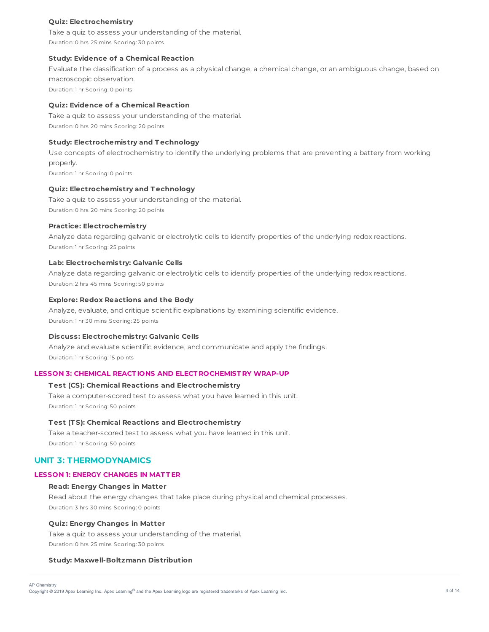### **Quiz: Electrochemistry**

Take a quiz to assess your understanding of the material. Duration: 0 hrs 25 mins Scoring: 30 points

### **Study: Evidence of a Chemical Reaction**

Evaluate the classification of a process as a physical change, a chemical change, or an ambiguous change, based on macroscopic observation.

Duration: 1 hr Scoring: 0 points

# **Quiz: Evidence of a Chemical Reaction**

Take a quiz to assess your understanding of the material. Duration: 0 hrs 20 mins Scoring: 20 points

#### **Study: Electrochemistry and T echnology**

Use concepts of electrochemistry to identify the underlying problems that are preventing a battery from working properly.

Duration: 1 hr Scoring: 0 points

### **Quiz: Electrochemistry and T echnology**

Take a quiz to assess your understanding of the material. Duration: 0 hrs 20 mins Scoring: 20 points

### **Practice: Electrochemistry**

Analyze data regarding galvanic or electrolytic cells to identify properties of the underlying redox reactions. Duration: 1 hr Scoring: 25 points

### **Lab: Electrochemistry: Galvanic Cells**

Analyze data regarding galvanic or electrolytic cells to identify properties of the underlying redox reactions. Duration: 2 hrs 45 mins Scoring: 50 points

### **Explore: Redox Reactions and the Body**

Analyze, evaluate, and critique scientific explanations by examining scientific evidence. Duration: 1 hr 30 mins Scoring: 25 points

#### **Discuss: Electrochemistry: Galvanic Cells**

Analyze and evaluate scientific evidence, and communicate and apply the findings. Duration: 1 hr Scoring: 15 points

## **LESSON 3: CHEMICAL REACT IONS AND ELECT ROCHEMIST RY WRAP-UP**

### **T est (CS): Chemical Reactions and Electrochemistry**

Take a computer-scored test to assess what you have learned in this unit. Duration: 1 hr Scoring: 50 points

## **T est (T S): Chemical Reactions and Electrochemistry**

Take a teacher-scored test to assess what you have learned in this unit. Duration: 1 hr Scoring: 50 points

# **UNIT 3: THERMODYNAMICS**

# **LESSON 1: ENERGY CHANGES IN MAT T ER**

### **Read: Energy Changes in Matter**

Read about the energy changes that take place during physical and chemical processes. Duration: 3 hrs 30 mins Scoring: 0 points

#### **Quiz: Energy Changes in Matter**

Take a quiz to assess your understanding of the material. Duration: 0 hrs 25 mins Scoring: 30 points

### **Study: Maxwell-Boltzmann Distribution**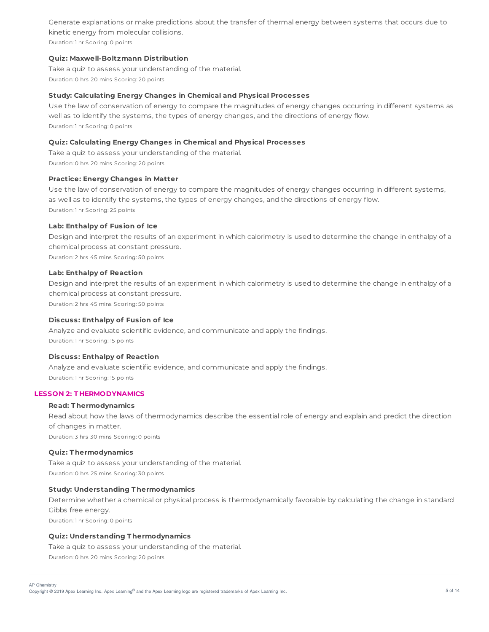Generate explanations or make predictions about the transfer of thermal energy between systems that occurs due to kinetic energy from molecular collisions.

Duration: 1 hr Scoring: 0 points

## **Quiz: Maxwell-Boltzmann Distribution**

Take a quiz to assess your understanding of the material. Duration: 0 hrs 20 mins Scoring: 20 points

## **Study: Calculating Energy Changes in Chemical and Physical Processes**

Use the law of conservation of energy to compare the magnitudes of energy changes occurring in different systems as well as to identify the systems, the types of energy changes, and the directions of energy flow. Duration: 1 hr Scoring: 0 points

## **Quiz: Calculating Energy Changes in Chemical and Physical Processes**

Take a quiz to assess your understanding of the material. Duration: 0 hrs 20 mins Scoring: 20 points

### **Practice: Energy Changes in Matter**

Use the law of conservation of energy to compare the magnitudes of energy changes occurring in different systems, as well as to identify the systems, the types of energy changes, and the directions of energy flow. Duration: 1 hr Scoring: 25 points

## **Lab: Enthalpy of Fusion of Ice**

Design and interpret the results of an experiment in which calorimetry is used to determine the change in enthalpy of a chemical process at constant pressure.

Duration: 2 hrs 45 mins Scoring: 50 points

### **Lab: Enthalpy of Reaction**

Design and interpret the results of an experiment in which calorimetry is used to determine the change in enthalpy of a chemical process at constant pressure. Duration: 2 hrs 45 mins Scoring: 50 points

## **Discuss: Enthalpy of Fusion of Ice**

Analyze and evaluate scientific evidence, and communicate and apply the findings. Duration: 1 hr Scoring: 15 points

## **Discuss: Enthalpy of Reaction**

Analyze and evaluate scientific evidence, and communicate and apply the findings. Duration: 1 hr Scoring: 15 points

### **LESSON 2: T HERMODYNAMICS**

### **Read: T hermodynamics**

Read about how the laws of thermodynamics describe the essential role of energy and explain and predict the direction of changes in matter.

Duration: 3 hrs 30 mins Scoring: 0 points

## **Quiz: T hermodynamics**

Take a quiz to assess your understanding of the material. Duration: 0 hrs 25 mins Scoring: 30 points

## **Study: Understanding T hermodynamics**

Determine whether a chemical or physical process is thermodynamically favorable by calculating the change in standard Gibbs free energy. Duration: 1 hr Scoring: 0 points

# **Quiz: Understanding T hermodynamics**

Take a quiz to assess your understanding of the material.

Duration: 0 hrs 20 mins Scoring: 20 points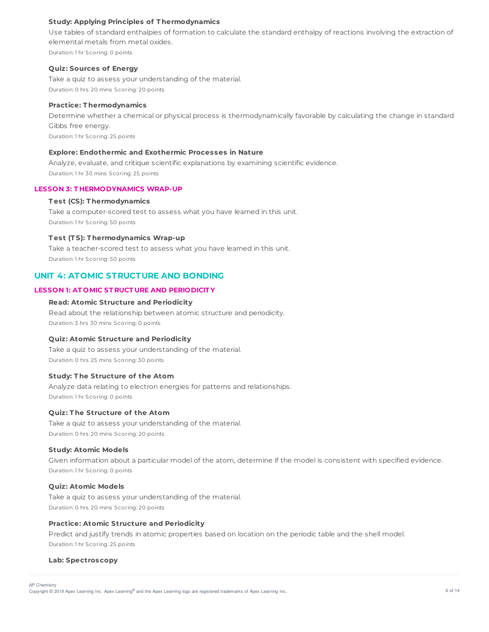## **Study: Applying Principles of T hermodynamics**

Use tables of standard enthalpies of formation to calculate the standard enthalpy of reactions involving the extraction of elemental metals from metal oxides. Duration: 1 hr Scoring: 0 points

### **Quiz: Sources of Energy**

Take a quiz to assess your understanding of the material. Duration: 0 hrs 20 mins Scoring: 20 points

## **Practice: T hermodynamics**

Determine whether a chemical or physical process is thermodynamically favorable by calculating the change in standard Gibbs free energy. Duration: 1 hr Scoring: 25 points

### **Explore: Endothermic and Exothermic Processes in Nature**

Analyze, evaluate, and critique scientific explanations by examining scientific evidence. Duration: 1 hr 30 mins Scoring: 25 points

#### **LESSON 3: T HERMODYNAMICS WRAP-UP**

### **T est (CS): T hermodynamics**

Take a computer-scored test to assess what you have learned in this unit. Duration: 1 hr Scoring: 50 points

### **T est (T S): T hermodynamics Wrap-up**

Take a teacher-scored test to assess what you have learned in this unit. Duration: 1 hr Scoring: 50 points

# **UNIT 4: ATOMIC STRUCTURE AND BONDING**

### **LESSON 1: AT OMIC ST RUCT URE AND PERIODICIT Y**

### **Read: Atomic Structure and Periodicity**

Read about the relationship between atomic structure and periodicity. Duration: 3 hrs 30 mins Scoring: 0 points

### **Quiz: Atomic Structure and Periodicity**

Take a quiz to assess your understanding of the material. Duration: 0 hrs 25 mins Scoring: 30 points

#### **Study: T he Structure of the Atom**

Analyze data relating to electron energies for patterns and relationships. Duration: 1 hr Scoring: 0 points

## **Quiz: T he Structure of the Atom**

Take a quiz to assess your understanding of the material. Duration: 0 hrs 20 mins Scoring: 20 points

#### **Study: Atomic Models**

Given information about a particular model of the atom, determine if the model is consistent with specified evidence. Duration: 1 hr Scoring: 0 points

### **Quiz: Atomic Models**

Take a quiz to assess your understanding of the material. Duration: 0 hrs 20 mins Scoring: 20 points

#### **Practice: Atomic Structure and Periodicity**

Predict and justify trends in atomic properties based on location on the periodic table and the shell model. Duration: 1 hr Scoring: 25 points

#### **Lab: Spectroscopy**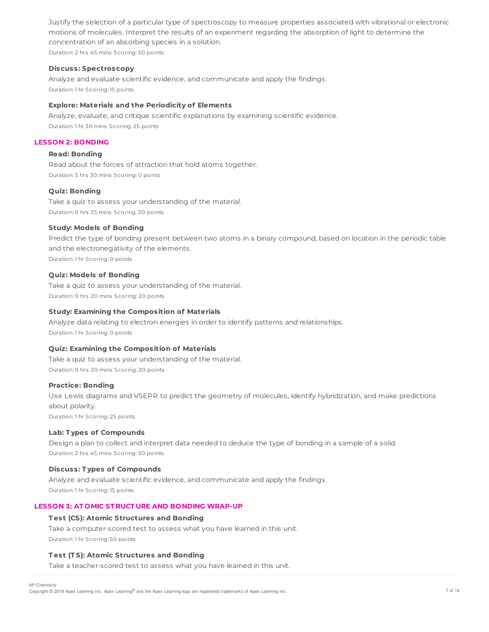Justify the selection of a particular type of spectroscopy to measure properties associated with vibrational or electronic motions of molecules. Interpret the results of an experiment regarding the absorption of light to determine the concentration of an absorbing species in a solution. Duration: 2 hrs 45 mins Scoring: 50 points

### **Discuss: Spectroscopy**

Analyze and evaluate scientific evidence, and communicate and apply the findings. Duration: 1 hr Scoring: 15 points

## **Explore: Materials and the Periodicity of Elements**

Analyze, evaluate, and critique scientific explanations by examining scientific evidence. Duration: 1 hr 30 mins Scoring: 25 points

## **LESSON 2: BONDING**

# **Read: Bonding**

Read about the forces of attraction that hold atoms together. Duration: 3 hrs 30 mins Scoring: 0 points

### **Quiz: Bonding**

Take a quiz to assess your understanding of the material. Duration: 0 hrs 25 mins Scoring: 30 points

### **Study: Models of Bonding**

Predict the type of bonding present between two atoms in a binary compound, based on location in the periodic table and the electronegativity of the elements.

Duration: 1 hr Scoring: 0 points

#### **Quiz: Models of Bonding**

Take a quiz to assess your understanding of the material. Duration: 0 hrs 20 mins Scoring: 20 points

### **Study: Examining the Composition of Materials**

Analyze data relating to electron energies in order to identify patterns and relationships. Duration: 1 hr Scoring: 0 points

### **Quiz: Examining the Composition of Materials**

Take a quiz to assess your understanding of the material. Duration: 0 hrs 20 mins Scoring: 20 points

## **Practice: Bonding**

Use Lewis diagrams and VSEPR to predict the geometry of molecules, identify hybridization, and make predictions about polarity. Duration: 1 hr Scoring: 25 points

#### **Lab: T ypes of Compounds**

Design a plan to collect and interpret data needed to deduce the type of bonding in a sample of a solid. Duration: 2 hrs 45 mins Scoring: 50 points

#### **Discuss: T ypes of Compounds**

Analyze and evaluate scientific evidence, and communicate and apply the findings. Duration: 1 hr Scoring: 15 points

## **LESSON 3: AT OMIC ST RUCT URE AND BONDING WRAP-UP**

### **T est (CS): Atomic Structures and Bonding**

Take a computer-scored test to assess what you have learned in this unit. Duration: 1 hr Scoring: 50 points

### **T est (T S): Atomic Structures and Bonding**

Take a teacher-scored test to assess what you have learned in this unit.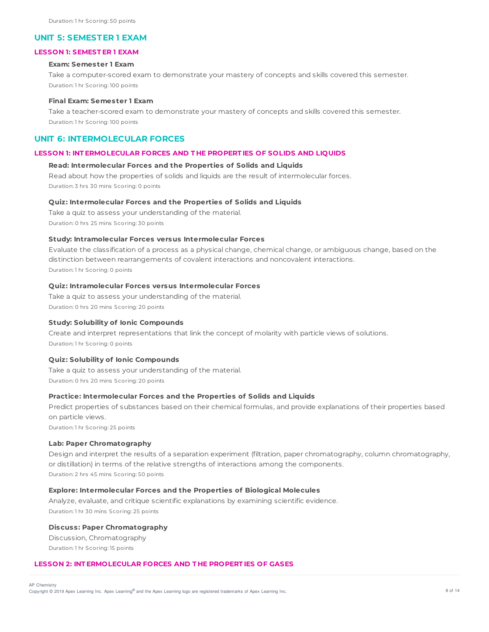### **UNIT 5: SEMESTER 1 EXAM**

### **LESSON 1: SEMEST ER 1 EXAM**

#### **Exam: Semester 1 Exam**

Take a computer-scored exam to demonstrate your mastery of concepts and skills covered this semester. Duration: 1 hr Scoring: 100 points

### **Final Exam: Semester 1 Exam**

Take a teacher-scored exam to demonstrate your mastery of concepts and skills covered this semester. Duration: 1 hr Scoring: 100 points

## **UNIT 6: INTERMOLECULAR FORCES**

### **LESSON 1: INT ERMOLECULAR FORCES AND T HE PROPERT IES OF SOLIDS AND LIQUIDS**

### **Read: Intermolecular Forces and the Properties of Solids and Liquids**

Read about how the properties of solids and liquids are the result of intermolecular forces. Duration: 3 hrs 30 mins Scoring: 0 points

### **Quiz: Intermolecular Forces and the Properties of Solids and Liquids**

Take a quiz to assess your understanding of the material. Duration: 0 hrs 25 mins Scoring: 30 points

#### **Study: Intramolecular Forces versus Intermolecular Forces**

Evaluate the classification of a process as a physical change, chemical change, or ambiguous change, based on the distinction between rearrangements of covalent interactions and noncovalent interactions. Duration: 1 hr Scoring: 0 points

#### **Quiz: Intramolecular Forces versus Intermolecular Forces**

Take a quiz to assess your understanding of the material. Duration: 0 hrs 20 mins Scoring: 20 points

### **Study: Solubility of Ionic Compounds**

Create and interpret representations that link the concept of molarity with particle views of solutions. Duration: 1 hr Scoring: 0 points

### **Quiz: Solubility of Ionic Compounds**

Take a quiz to assess your understanding of the material. Duration: 0 hrs 20 mins Scoring: 20 points

### **Practice: Intermolecular Forces and the Properties of Solids and Liquids**

Predict properties of substances based on their chemical formulas, and provide explanations of their properties based on particle views.

Duration: 1 hr Scoring: 25 points

### **Lab: Paper Chromatography**

Design and interpret the results of a separation experiment (filtration, paper chromatography, column chromatography, or distillation) in terms of the relative strengths of interactions among the components. Duration: 2 hrs 45 mins Scoring: 50 points

#### **Explore: Intermolecular Forces and the Properties of Biological Molecules**

Analyze, evaluate, and critique scientific explanations by examining scientific evidence. Duration: 1 hr 30 mins Scoring: 25 points

## **Discuss: Paper Chromatography**

Discussion, Chromatography Duration: 1 hr Scoring: 15 points

#### **LESSON 2: INT ERMOLECULAR FORCES AND T HE PROPERT IES OF GASES**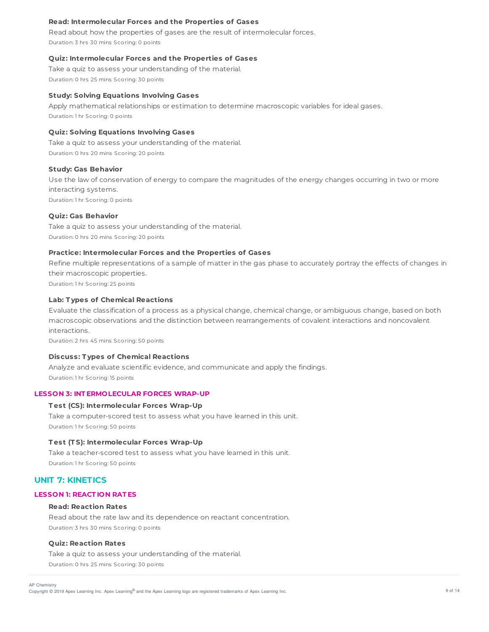### **Read: Intermolecular Forces and the Properties of Gases**

Read about how the properties of gases are the result of intermolecular forces. Duration: 3 hrs 30 mins Scoring: 0 points

### **Quiz: Intermolecular Forces and the Properties of Gases**

Take a quiz to assess your understanding of the material. Duration: 0 hrs 25 mins Scoring: 30 points

#### **Study: Solving Equations Involving Gases**

Apply mathematical relationships or estimation to determine macroscopic variables for ideal gases. Duration: 1 hr Scoring: 0 points

## **Quiz: Solving Equations Involving Gases**

Take a quiz to assess your understanding of the material. Duration: 0 hrs 20 mins Scoring: 20 points

#### **Study: Gas Behavior**

Use the law of conservation of energy to compare the magnitudes of the energy changes occurring in two or more interacting systems. Duration: 1 hr Scoring: 0 points

#### **Quiz: Gas Behavior**

Take a quiz to assess your understanding of the material. Duration: 0 hrs 20 mins Scoring: 20 points

## **Practice: Intermolecular Forces and the Properties of Gases**

Refine multiple representations of a sample of matter in the gas phase to accurately portray the effects of changes in their macroscopic properties.

Duration: 1 hr Scoring: 25 points

# **Lab: T ypes of Chemical Reactions**

Evaluate the classification of a process as a physical change, chemical change, or ambiguous change, based on both macroscopic observations and the distinction between rearrangements of covalent interactions and noncovalent interactions.

Duration: 2 hrs 45 mins Scoring: 50 points

## **Discuss: T ypes of Chemical Reactions**

Analyze and evaluate scientific evidence, and communicate and apply the findings. Duration: 1 hr Scoring: 15 points

#### **LESSON 3: INT ERMOLECULAR FORCES WRAP-UP**

#### **T est (CS): Intermolecular Forces Wrap-Up**

Take a computer-scored test to assess what you have learned in this unit. Duration: 1 hr Scoring: 50 points

#### **T est (T S): Intermolecular Forces Wrap-Up**

Take a teacher-scored test to assess what you have learned in this unit. Duration: 1 hr Scoring: 50 points

# **UNIT 7: KINETICS**

#### **LESSON 1: REACT ION RAT ES**

### **Read: Reaction Rates**

Read about the rate law and its dependence on reactant concentration. Duration: 3 hrs 30 mins Scoring: 0 points

## **Quiz: Reaction Rates**

Take a quiz to assess your understanding of the material. Duration: 0 hrs 25 mins Scoring: 30 points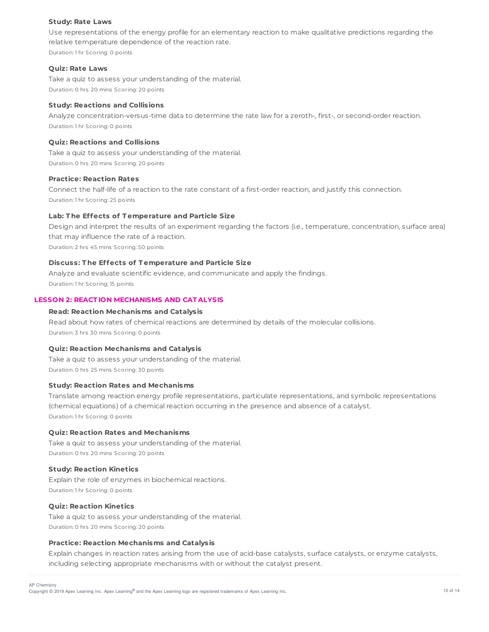### **Study: Rate Laws**

Use representations of the energy profile for an elementary reaction to make qualitative predictions regarding the relative temperature dependence of the reaction rate. Duration: 1 hr Scoring: 0 points

### **Quiz: Rate Laws**

Take a quiz to assess your understanding of the material. Duration: 0 hrs 20 mins Scoring: 20 points

## **Study: Reactions and Collisions**

Analyze concentration-versus-time data to determine the rate law for a zeroth-, first-, or second-order reaction. Duration: 1 hr Scoring: 0 points

# **Quiz: Reactions and Collisions**

Take a quiz to assess your understanding of the material. Duration: 0 hrs 20 mins Scoring: 20 points

### **Practice: Reaction Rates**

Connect the half-life of a reaction to the rate constant of a first-order reaction, and justify this connection. Duration: 1 hr Scoring: 25 points

## **Lab: T he Effects of T emperature and Particle Size**

Design and interpret the results of an experiment regarding the factors (i.e., temperature, concentration, surface area) that may influence the rate of a reaction.

Duration: 2 hrs 45 mins Scoring: 50 points

# **Discuss: T he Effects of T emperature and Particle Size**

Analyze and evaluate scientific evidence, and communicate and apply the findings. Duration: 1 hr Scoring: 15 points

## **LESSON 2: REACT ION MECHANISMS AND CAT ALYSIS**

### **Read: Reaction Mechanisms and Catalysis**

Read about how rates of chemical reactions are determined by details of the molecular collisions. Duration: 3 hrs 30 mins Scoring: 0 points

### **Quiz: Reaction Mechanisms and Catalysis**

Take a quiz to assess your understanding of the material. Duration: 0 hrs 25 mins Scoring: 30 points

## **Study: Reaction Rates and Mechanisms**

Translate among reaction energy profile representations, particulate representations, and symbolic representations (chemical equations) of a chemical reaction occurring in the presence and absence of a catalyst. Duration: 1 hr Scoring: 0 points

## **Quiz: Reaction Rates and Mechanisms**

Take a quiz to assess your understanding of the material. Duration: 0 hrs 20 mins Scoring: 20 points

#### **Study: Reaction Kinetics**

Explain the role of enzymes in biochemical reactions. Duration: 1 hr Scoring: 0 points

## **Quiz: Reaction Kinetics**

Take a quiz to assess your understanding of the material. Duration: 0 hrs 20 mins Scoring: 20 points

### **Practice: Reaction Mechanisms and Catalysis**

Explain changes in reaction rates arising from the use of acid-base catalysts, surface catalysts, or enzyme catalysts, including selecting appropriate mechanisms with or without the catalyst present.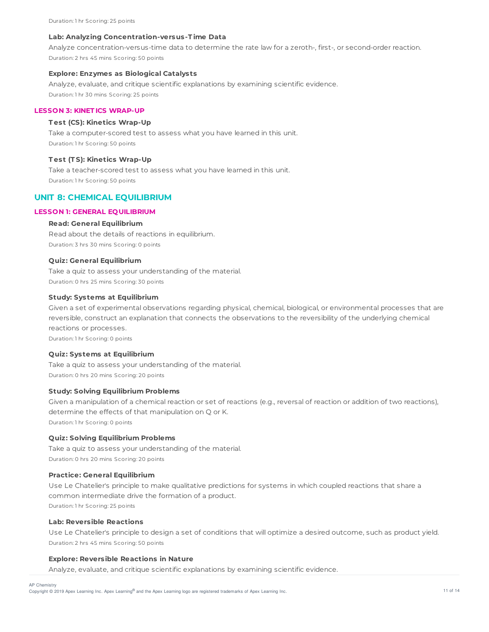### **Lab: Analyzing Concentration-versus-T ime Data**

Analyze concentration-versus-time data to determine the rate law for a zeroth-, first-, or second-order reaction. Duration: 2 hrs 45 mins Scoring: 50 points

### **Explore: Enzymes as Biological Catalysts**

Analyze, evaluate, and critique scientific explanations by examining scientific evidence. Duration: 1 hr 30 mins Scoring: 25 points

## **LESSON 3: KINET ICS WRAP-UP**

### **T est (CS): Kinetics Wrap-Up**

Take a computer-scored test to assess what you have learned in this unit. Duration: 1 hr Scoring: 50 points

#### **T est (T S): Kinetics Wrap-Up**

Take a teacher-scored test to assess what you have learned in this unit. Duration: 1 hr Scoring: 50 points

# **UNIT 8: CHEMICAL EQUILIBRIUM**

# **LESSON 1: GENERAL EQUILIBRIUM**

## **Read: General Equilibrium**

Read about the details of reactions in equilibrium. Duration: 3 hrs 30 mins Scoring: 0 points

### **Quiz: General Equilibrium**

Take a quiz to assess your understanding of the material. Duration: 0 hrs 25 mins Scoring: 30 points

### **Study: Systems at Equilibrium**

Given a set of experimental observations regarding physical, chemical, biological, or environmental processes that are reversible, construct an explanation that connects the observations to the reversibility of the underlying chemical reactions or processes.

Duration: 1 hr Scoring: 0 points

## **Quiz: Systems at Equilibrium**

Take a quiz to assess your understanding of the material. Duration: 0 hrs 20 mins Scoring: 20 points

# **Study: Solving Equilibrium Problems**

Given a manipulation of a chemical reaction or set of reactions (e.g., reversal of reaction or addition of two reactions), determine the effects of that manipulation on Q or K. Duration: 1 hr Scoring: 0 points

# **Quiz: Solving Equilibrium Problems**

Take a quiz to assess your understanding of the material. Duration: 0 hrs 20 mins Scoring: 20 points

## **Practice: General Equilibrium**

Use Le Chatelier's principle to make qualitative predictions for systems in which coupled reactions that share a common intermediate drive the formation of a product. Duration: 1 hr Scoring: 25 points

#### **Lab: Reversible Reactions**

Use Le Chatelier's principle to design a set of conditions that will optimize a desired outcome, such as product yield. Duration: 2 hrs 45 mins Scoring: 50 points

### **Explore: Reversible Reactions in Nature**

Analyze, evaluate, and critique scientific explanations by examining scientific evidence.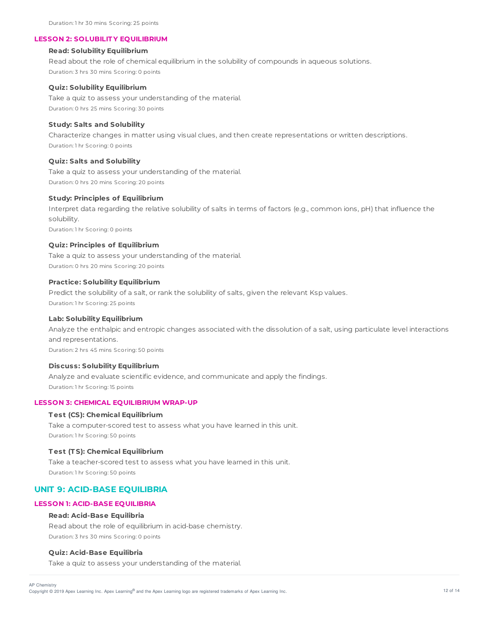# **LESSON 2: SOLUBILIT Y EQUILIBRIUM**

## **Read: Solubility Equilibrium**

Read about the role of chemical equilibrium in the solubility of compounds in aqueous solutions. Duration: 3 hrs 30 mins Scoring: 0 points

### **Quiz: Solubility Equilibrium**

Take a quiz to assess your understanding of the material. Duration: 0 hrs 25 mins Scoring: 30 points

### **Study: Salts and Solubility**

Characterize changes in matter using visual clues, and then create representations or written descriptions. Duration: 1 hr Scoring: 0 points

### **Quiz: Salts and Solubility**

Take a quiz to assess your understanding of the material. Duration: 0 hrs 20 mins Scoring: 20 points

### **Study: Principles of Equilibrium**

Interpret data regarding the relative solubility of salts in terms of factors (e.g., common ions, pH) that influence the solubility.

Duration: 1 hr Scoring: 0 points

## **Quiz: Principles of Equilibrium**

Take a quiz to assess your understanding of the material. Duration: 0 hrs 20 mins Scoring: 20 points

#### **Practice: Solubility Equilibrium**

Predict the solubility of a salt, or rank the solubility of salts, given the relevant Ksp values. Duration: 1 hr Scoring: 25 points

### **Lab: Solubility Equilibrium**

Analyze the enthalpic and entropic changes associated with the dissolution of a salt, using particulate level interactions and representations.

Duration: 2 hrs 45 mins Scoring: 50 points

#### **Discuss: Solubility Equilibrium**

Analyze and evaluate scientific evidence, and communicate and apply the findings. Duration: 1 hr Scoring: 15 points

#### **LESSON 3: CHEMICAL EQUILIBRIUM WRAP-UP**

#### **T est (CS): Chemical Equilibrium**

Take a computer-scored test to assess what you have learned in this unit. Duration: 1 hr Scoring: 50 points

### **T est (T S): Chemical Equilibrium**

Take a teacher-scored test to assess what you have learned in this unit. Duration: 1 hr Scoring: 50 points

# **UNIT 9: ACID-BASE EQUILIBRIA**

### **LESSON 1: ACID-BASE EQUILIBRIA**

#### **Read: Acid-Base Equilibria**

Read about the role of equilibrium in acid-base chemistry. Duration: 3 hrs 30 mins Scoring: 0 points

## **Quiz: Acid-Base Equilibria**

Take a quiz to assess your understanding of the material.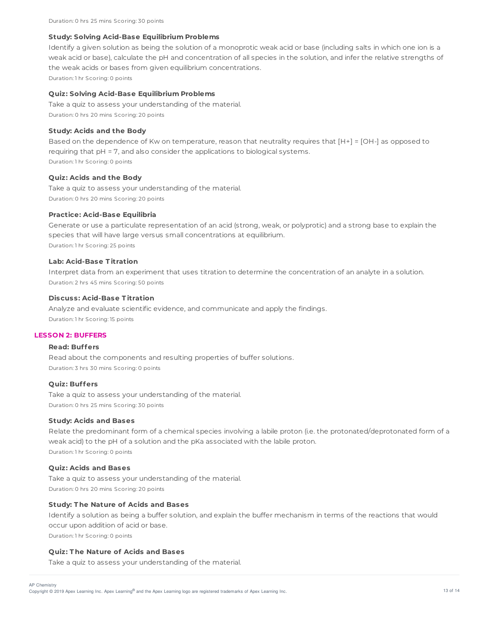#### **Study: Solving Acid-Base Equilibrium Problems**

Identify a given solution as being the solution of a monoprotic weak acid or base (including salts in which one ion is a weak acid or base), calculate the pH and concentration of all species in the solution, and infer the relative strengths of the weak acids or bases from given equilibrium concentrations.

Duration: 1 hr Scoring: 0 points

### **Quiz: Solving Acid-Base Equilibrium Problems**

Take a quiz to assess your understanding of the material. Duration: 0 hrs 20 mins Scoring: 20 points

## **Study: Acids and the Body**

Based on the dependence of Kw on temperature, reason that neutrality requires that [H+] = [OH-] as opposed to requiring that pH = 7, and also consider the applications to biological systems. Duration: 1 hr Scoring: 0 points

### **Quiz: Acids and the Body**

Take a quiz to assess your understanding of the material. Duration: 0 hrs 20 mins Scoring: 20 points

### **Practice: Acid-Base Equilibria**

Generate or use a particulate representation of an acid (strong, weak, or polyprotic) and a strong base to explain the species that will have large versus small concentrations at equilibrium. Duration: 1 hr Scoring: 25 points

### **Lab: Acid-Base T itration**

Interpret data from an experiment that uses titration to determine the concentration of an analyte in a solution. Duration: 2 hrs 45 mins Scoring: 50 points

#### **Discuss: Acid-Base T itration**

Analyze and evaluate scientific evidence, and communicate and apply the findings. Duration: 1 hr Scoring: 15 points

### **LESSON 2: BUFFERS**

# **Read: Buffers**

Read about the components and resulting properties of buffer solutions. Duration: 3 hrs 30 mins Scoring: 0 points

## **Quiz: Buffers**

Take a quiz to assess your understanding of the material. Duration: 0 hrs 25 mins Scoring: 30 points

#### **Study: Acids and Bases**

Relate the predominant form of a chemical species involving a labile proton (i.e. the protonated/deprotonated form of a weak acid) to the pH of a solution and the pKa associated with the labile proton. Duration: 1 hr Scoring: 0 points

#### **Quiz: Acids and Bases**

Take a quiz to assess your understanding of the material. Duration: 0 hrs 20 mins Scoring: 20 points

## **Study: T he Nature of Acids and Bases**

Identify a solution as being a buffer solution, and explain the buffer mechanism in terms of the reactions that would occur upon addition of acid or base. Duration: 1 hr Scoring: 0 points

# **Quiz: T he Nature of Acids and Bases**

Take a quiz to assess your understanding of the material.